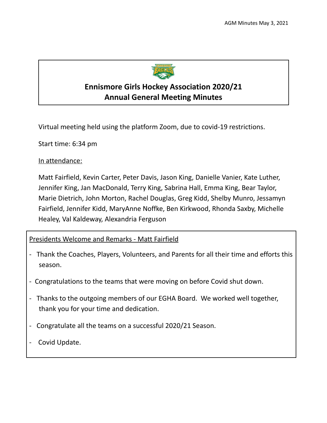

# **Ennismore Girls Hockey Association 2020/21 Annual General Meeting Minutes**

Virtual meeting held using the platform Zoom, due to covid-19 restrictions.

Start time: 6:34 pm

In attendance:

Matt Fairfield, Kevin Carter, Peter Davis, Jason King, Danielle Vanier, Kate Luther, Jennifer King, Jan MacDonald, Terry King, Sabrina Hall, Emma King, Bear Taylor, Marie Dietrich, John Morton, Rachel Douglas, Greg Kidd, Shelby Munro, Jessamyn Fairfield, Jennifer Kidd, MaryAnne Noffke, Ben Kirkwood, Rhonda Saxby, Michelle Healey, Val Kaldeway, Alexandria Ferguson

### Presidents Welcome and Remarks - Matt Fairfield

- Thank the Coaches, Players, Volunteers, and Parents for all their time and efforts this season.
- Congratulations to the teams that were moving on before Covid shut down.
- Thanks to the outgoing members of our EGHA Board. We worked well together, thank you for your time and dedication.
- Congratulate all the teams on a successful 2020/21 Season.
- Covid Update.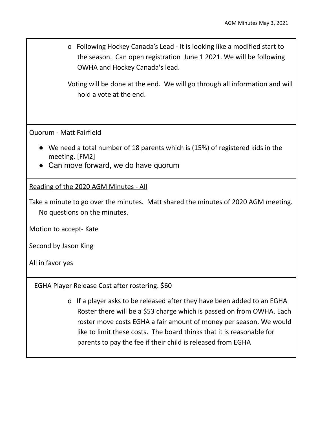o Following Hockey Canada's Lead - It is looking like a modified start to the season. Can open registration June 1 2021. We will be following OWHA and Hockey Canada's lead.

Voting will be done at the end. We will go through all information and will hold a vote at the end.

Quorum - Matt Fairfield

- We need a total number of 18 parents which is (15%) of registered kids in the meeting. [FM2]
- Can move forward, we do have quorum

Reading of the 2020 AGM Minutes - All

Take a minute to go over the minutes. Matt shared the minutes of 2020 AGM meeting. No questions on the minutes.

Motion to accept- Kate

Second by Jason King

All in favor yes

EGHA Player Release Cost after rostering. \$60

o If a player asks to be released after they have been added to an EGHA Roster there will be a \$53 charge which is passed on from OWHA. Each roster move costs EGHA a fair amount of money per season. We would like to limit these costs. The board thinks that it is reasonable for parents to pay the fee if their child is released from EGHA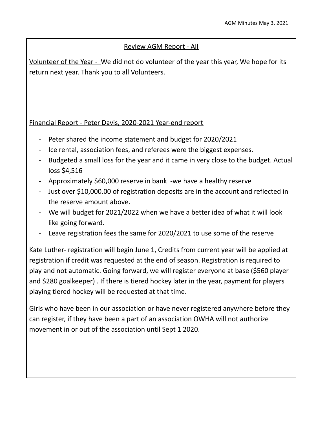## Review AGM Report - All

Volunteer of the Year - We did not do volunteer of the year this year, We hope for its return next year. Thank you to all Volunteers.

## Financial Report - Peter Davis, 2020-2021 Year-end report

- Peter shared the income statement and budget for 2020/2021
- Ice rental, association fees, and referees were the biggest expenses.
- Budgeted a small loss for the year and it came in very close to the budget. Actual loss \$4,516
- Approximately \$60,000 reserve in bank -we have a healthy reserve
- Just over \$10,000.00 of registration deposits are in the account and reflected in the reserve amount above.
- We will budget for 2021/2022 when we have a better idea of what it will look like going forward.
- Leave registration fees the same for 2020/2021 to use some of the reserve

Kate Luther- registration will begin June 1, Credits from current year will be applied at registration if credit was requested at the end of season. Registration is required to play and not automatic. Going forward, we will register everyone at base (\$560 player and \$280 goalkeeper) . If there is tiered hockey later in the year, payment for players playing tiered hockey will be requested at that time.

Girls who have been in our association or have never registered anywhere before they can register, if they have been a part of an association OWHA will not authorize movement in or out of the association until Sept 1 2020.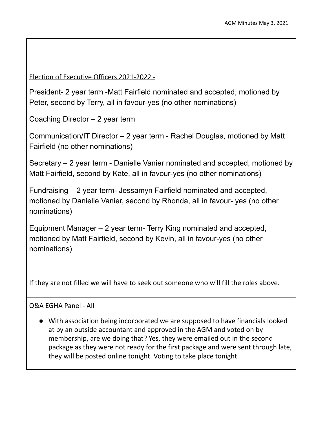Election of Executive Officers 2021-2022 -

President- 2 year term -Matt Fairfield nominated and accepted, motioned by Peter, second by Terry, all in favour-yes (no other nominations)

Coaching Director – 2 year term

Communication/IT Director – 2 year term - Rachel Douglas, motioned by Matt Fairfield (no other nominations)

Secretary – 2 year term - Danielle Vanier nominated and accepted, motioned by Matt Fairfield, second by Kate, all in favour-yes (no other nominations)

Fundraising – 2 year term- Jessamyn Fairfield nominated and accepted, motioned by Danielle Vanier, second by Rhonda, all in favour- yes (no other nominations)

Equipment Manager – 2 year term- Terry King nominated and accepted, motioned by Matt Fairfield, second by Kevin, all in favour-yes (no other nominations)

If they are not filled we will have to seek out someone who will fill the roles above.

### Q&A EGHA Panel - All

● With association being incorporated we are supposed to have financials looked at by an outside accountant and approved in the AGM and voted on by membership, are we doing that? Yes, they were emailed out in the second package as they were not ready for the first package and were sent through late, they will be posted online tonight. Voting to take place tonight.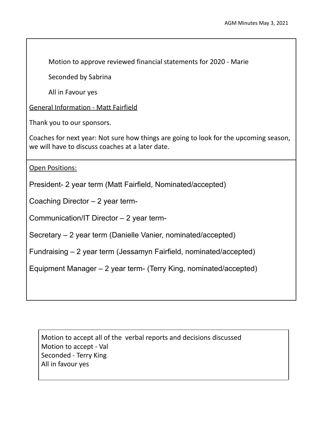Motion to approve reviewed financial statements for 2020 - Marie

Seconded by Sabrina

All in Favour yes

General Information - Matt Fairfield

Thank you to our sponsors.

Coaches for next year: Not sure how things are going to look for the upcoming season, we will have to discuss coaches at a later date.

Open Positions:

President- 2 year term (Matt Fairfield, Nominated/accepted)

Coaching Director – 2 year term-

Communication/IT Director – 2 year term-

Secretary – 2 year term (Danielle Vanier, nominated/accepted)

Fundraising – 2 year term (Jessamyn Fairfield, nominated/accepted)

Equipment Manager – 2 year term- (Terry King, nominated/accepted)

Motion to accept all of the verbal reports and decisions discussed Motion to accept - Val Seconded - Terry King All in favour yes